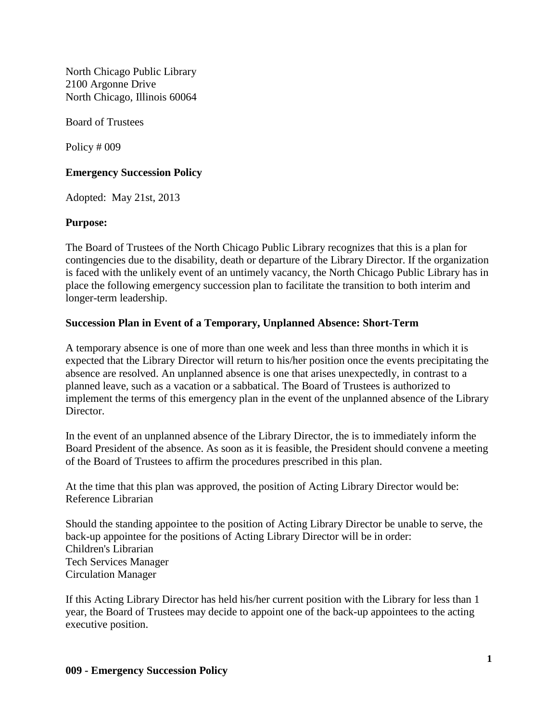North Chicago Public Library 2100 Argonne Drive North Chicago, Illinois 60064

Board of Trustees

Policy # 009

# **Emergency Succession Policy**

Adopted: May 21st, 2013

## **Purpose:**

The Board of Trustees of the North Chicago Public Library recognizes that this is a plan for contingencies due to the disability, death or departure of the Library Director. If the organization is faced with the unlikely event of an untimely vacancy, the North Chicago Public Library has in place the following emergency succession plan to facilitate the transition to both interim and longer-term leadership.

## **Succession Plan in Event of a Temporary, Unplanned Absence: Short-Term**

A temporary absence is one of more than one week and less than three months in which it is expected that the Library Director will return to his/her position once the events precipitating the absence are resolved. An unplanned absence is one that arises unexpectedly, in contrast to a planned leave, such as a vacation or a sabbatical. The Board of Trustees is authorized to implement the terms of this emergency plan in the event of the unplanned absence of the Library Director.

In the event of an unplanned absence of the Library Director, the is to immediately inform the Board President of the absence. As soon as it is feasible, the President should convene a meeting of the Board of Trustees to affirm the procedures prescribed in this plan.

At the time that this plan was approved, the position of Acting Library Director would be: Reference Librarian

Should the standing appointee to the position of Acting Library Director be unable to serve, the back-up appointee for the positions of Acting Library Director will be in order: Children's Librarian Tech Services Manager Circulation Manager

If this Acting Library Director has held his/her current position with the Library for less than 1 year, the Board of Trustees may decide to appoint one of the back-up appointees to the acting executive position.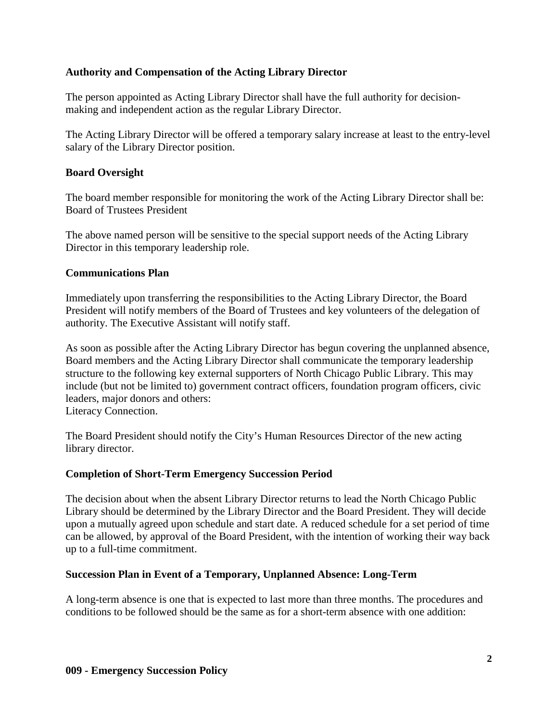# **Authority and Compensation of the Acting Library Director**

The person appointed as Acting Library Director shall have the full authority for decisionmaking and independent action as the regular Library Director.

The Acting Library Director will be offered a temporary salary increase at least to the entry-level salary of the Library Director position.

## **Board Oversight**

The board member responsible for monitoring the work of the Acting Library Director shall be: Board of Trustees President

The above named person will be sensitive to the special support needs of the Acting Library Director in this temporary leadership role.

### **Communications Plan**

Immediately upon transferring the responsibilities to the Acting Library Director, the Board President will notify members of the Board of Trustees and key volunteers of the delegation of authority. The Executive Assistant will notify staff.

As soon as possible after the Acting Library Director has begun covering the unplanned absence, Board members and the Acting Library Director shall communicate the temporary leadership structure to the following key external supporters of North Chicago Public Library. This may include (but not be limited to) government contract officers, foundation program officers, civic leaders, major donors and others: Literacy Connection.

The Board President should notify the City's Human Resources Director of the new acting library director.

### **Completion of Short-Term Emergency Succession Period**

The decision about when the absent Library Director returns to lead the North Chicago Public Library should be determined by the Library Director and the Board President. They will decide upon a mutually agreed upon schedule and start date. A reduced schedule for a set period of time can be allowed, by approval of the Board President, with the intention of working their way back up to a full-time commitment.

### **Succession Plan in Event of a Temporary, Unplanned Absence: Long-Term**

A long-term absence is one that is expected to last more than three months. The procedures and conditions to be followed should be the same as for a short-term absence with one addition: